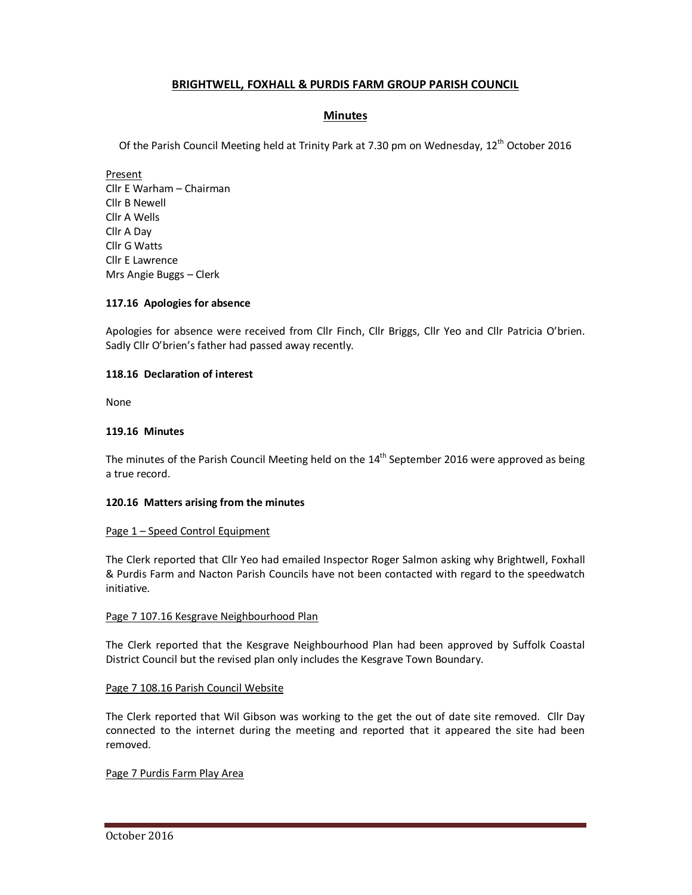# **BRIGHTWELL, FOXHALL & PURDIS FARM GROUP PARISH COUNCIL**

# **Minutes**

Of the Parish Council Meeting held at Trinity Park at 7.30 pm on Wednesday, 12<sup>th</sup> October 2016

Present Cllr E Warham – Chairman Cllr B Newell Cllr A Wells Cllr A Day Cllr G Watts Cllr E Lawrence Mrs Angie Buggs – Clerk

## **117.16 Apologies for absence**

Apologies for absence were received from Cllr Finch, Cllr Briggs, Cllr Yeo and Cllr Patricia O'brien. Sadly Cllr O'brien's father had passed away recently.

## **118.16 Declaration of interest**

None

## **119.16 Minutes**

The minutes of the Parish Council Meeting held on the 14<sup>th</sup> September 2016 were approved as being a true record.

### **120.16 Matters arising from the minutes**

### Page 1 – Speed Control Equipment

The Clerk reported that Cllr Yeo had emailed Inspector Roger Salmon asking why Brightwell, Foxhall & Purdis Farm and Nacton Parish Councils have not been contacted with regard to the speedwatch initiative.

### Page 7 107.16 Kesgrave Neighbourhood Plan

The Clerk reported that the Kesgrave Neighbourhood Plan had been approved by Suffolk Coastal District Council but the revised plan only includes the Kesgrave Town Boundary.

### Page 7 108.16 Parish Council Website

The Clerk reported that Wil Gibson was working to the get the out of date site removed. Cllr Day connected to the internet during the meeting and reported that it appeared the site had been removed.

## Page 7 Purdis Farm Play Area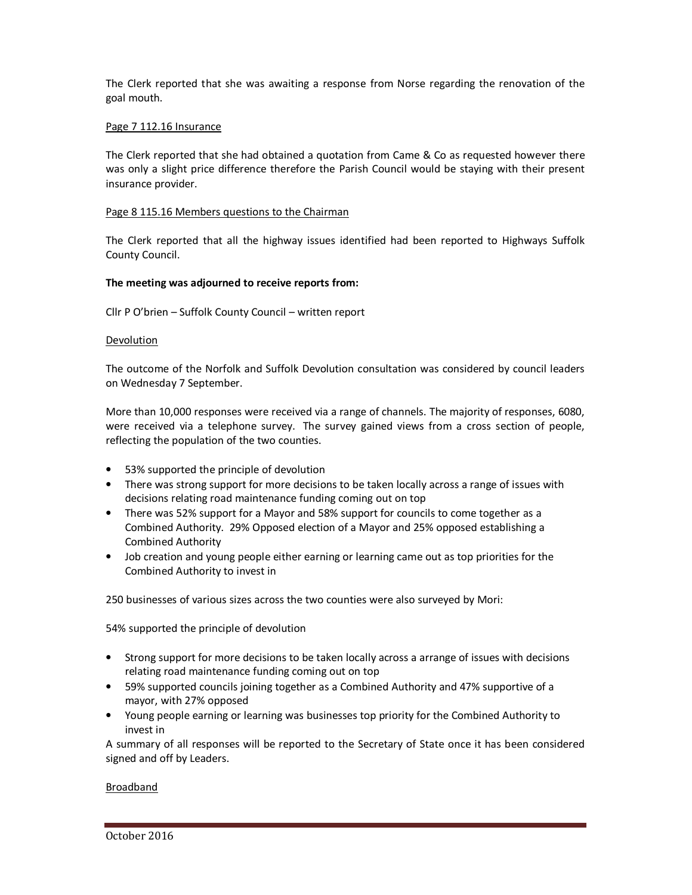The Clerk reported that she was awaiting a response from Norse regarding the renovation of the goal mouth.

## Page 7 112.16 Insurance

The Clerk reported that she had obtained a quotation from Came & Co as requested however there was only a slight price difference therefore the Parish Council would be staying with their present insurance provider.

### Page 8 115.16 Members questions to the Chairman

The Clerk reported that all the highway issues identified had been reported to Highways Suffolk County Council.

## **The meeting was adjourned to receive reports from:**

Cllr P O'brien – Suffolk County Council – written report

### Devolution

The outcome of the Norfolk and Suffolk Devolution consultation was considered by council leaders on Wednesday 7 September.

More than 10,000 responses were received via a range of channels. The majority of responses, 6080, were received via a telephone survey. The survey gained views from a cross section of people, reflecting the population of the two counties.

- 53% supported the principle of devolution
- There was strong support for more decisions to be taken locally across a range of issues with decisions relating road maintenance funding coming out on top
- There was 52% support for a Mayor and 58% support for councils to come together as a Combined Authority. 29% Opposed election of a Mayor and 25% opposed establishing a Combined Authority
- Job creation and young people either earning or learning came out as top priorities for the Combined Authority to invest in

250 businesses of various sizes across the two counties were also surveyed by Mori:

54% supported the principle of devolution

- Strong support for more decisions to be taken locally across a arrange of issues with decisions relating road maintenance funding coming out on top
- 59% supported councils joining together as a Combined Authority and 47% supportive of a mayor, with 27% opposed
- Young people earning or learning was businesses top priority for the Combined Authority to invest in

A summary of all responses will be reported to the Secretary of State once it has been considered signed and off by Leaders.

### Broadband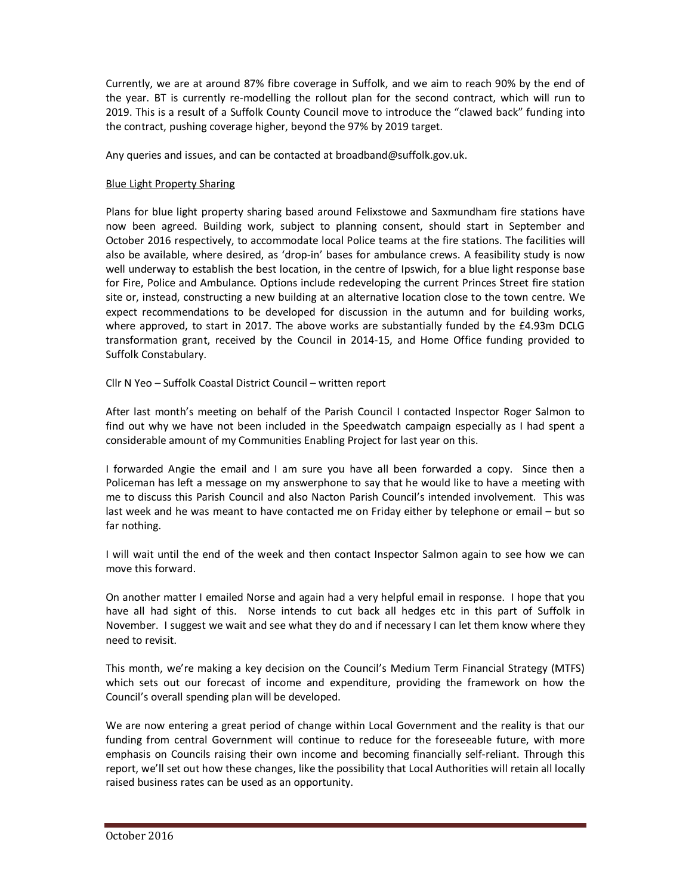Currently, we are at around 87% fibre coverage in Suffolk, and we aim to reach 90% by the end of the year. BT is currently re-modelling the rollout plan for the second contract, which will run to 2019. This is a result of a Suffolk County Council move to introduce the "clawed back" funding into the contract, pushing coverage higher, beyond the 97% by 2019 target.

Any queries and issues, and can be contacted at broadband@suffolk.gov.uk.

# Blue Light Property Sharing

Plans for blue light property sharing based around Felixstowe and Saxmundham fire stations have now been agreed. Building work, subject to planning consent, should start in September and October 2016 respectively, to accommodate local Police teams at the fire stations. The facilities will also be available, where desired, as 'drop-in' bases for ambulance crews. A feasibility study is now well underway to establish the best location, in the centre of Ipswich, for a blue light response base for Fire, Police and Ambulance. Options include redeveloping the current Princes Street fire station site or, instead, constructing a new building at an alternative location close to the town centre. We expect recommendations to be developed for discussion in the autumn and for building works, where approved, to start in 2017. The above works are substantially funded by the £4.93m DCLG transformation grant, received by the Council in 2014-15, and Home Office funding provided to Suffolk Constabulary.

Cllr N Yeo – Suffolk Coastal District Council – written report

After last month's meeting on behalf of the Parish Council I contacted Inspector Roger Salmon to find out why we have not been included in the Speedwatch campaign especially as I had spent a considerable amount of my Communities Enabling Project for last year on this.

I forwarded Angie the email and I am sure you have all been forwarded a copy. Since then a Policeman has left a message on my answerphone to say that he would like to have a meeting with me to discuss this Parish Council and also Nacton Parish Council's intended involvement. This was last week and he was meant to have contacted me on Friday either by telephone or email – but so far nothing.

I will wait until the end of the week and then contact Inspector Salmon again to see how we can move this forward.

On another matter I emailed Norse and again had a very helpful email in response. I hope that you have all had sight of this. Norse intends to cut back all hedges etc in this part of Suffolk in November. I suggest we wait and see what they do and if necessary I can let them know where they need to revisit.

This month, we're making a key decision on the Council's Medium Term Financial Strategy (MTFS) which sets out our forecast of income and expenditure, providing the framework on how the Council's overall spending plan will be developed.

We are now entering a great period of change within Local Government and the reality is that our funding from central Government will continue to reduce for the foreseeable future, with more emphasis on Councils raising their own income and becoming financially self-reliant. Through this report, we'll set out how these changes, like the possibility that Local Authorities will retain all locally raised business rates can be used as an opportunity.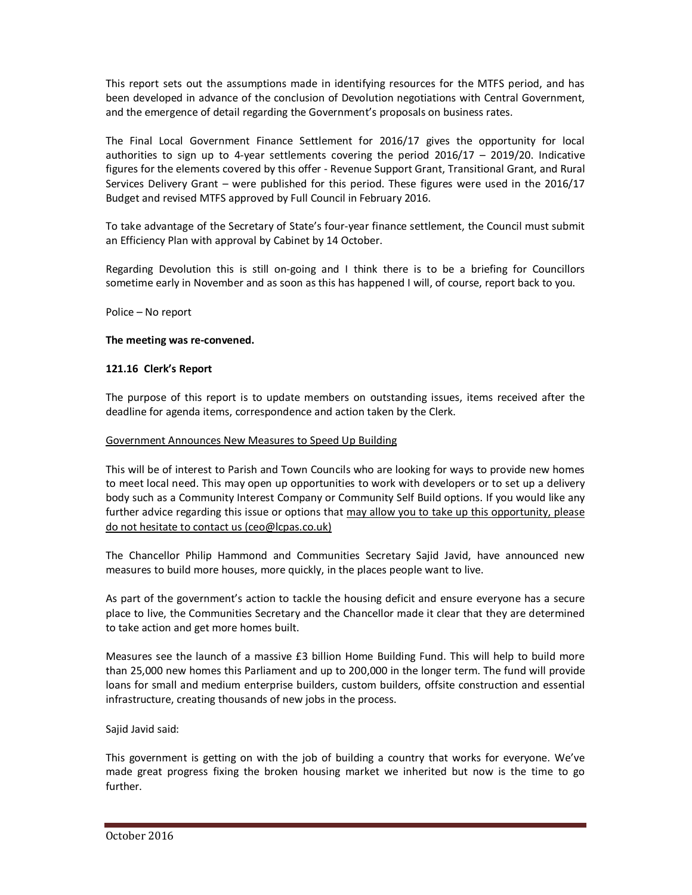This report sets out the assumptions made in identifying resources for the MTFS period, and has been developed in advance of the conclusion of Devolution negotiations with Central Government, and the emergence of detail regarding the Government's proposals on business rates.

The Final Local Government Finance Settlement for 2016/17 gives the opportunity for local authorities to sign up to 4-year settlements covering the period  $2016/17 - 2019/20$ . Indicative figures for the elements covered by this offer - Revenue Support Grant, Transitional Grant, and Rural Services Delivery Grant – were published for this period. These figures were used in the 2016/17 Budget and revised MTFS approved by Full Council in February 2016.

To take advantage of the Secretary of State's four-year finance settlement, the Council must submit an Efficiency Plan with approval by Cabinet by 14 October.

Regarding Devolution this is still on-going and I think there is to be a briefing for Councillors sometime early in November and as soon as this has happened I will, of course, report back to you.

Police – No report

## **The meeting was re-convened.**

## **121.16 Clerk's Report**

The purpose of this report is to update members on outstanding issues, items received after the deadline for agenda items, correspondence and action taken by the Clerk.

### Government Announces New Measures to Speed Up Building

This will be of interest to Parish and Town Councils who are looking for ways to provide new homes to meet local need. This may open up opportunities to work with developers or to set up a delivery body such as a Community Interest Company or Community Self Build options. If you would like any further advice regarding this issue or options that may allow you to take up this opportunity, please do not hesitate to contact us (ceo@lcpas.co.uk)

The Chancellor Philip Hammond and Communities Secretary Sajid Javid, have announced new measures to build more houses, more quickly, in the places people want to live.

As part of the government's action to tackle the housing deficit and ensure everyone has a secure place to live, the Communities Secretary and the Chancellor made it clear that they are determined to take action and get more homes built.

Measures see the launch of a massive £3 billion Home Building Fund. This will help to build more than 25,000 new homes this Parliament and up to 200,000 in the longer term. The fund will provide loans for small and medium enterprise builders, custom builders, offsite construction and essential infrastructure, creating thousands of new jobs in the process.

Sajid Javid said:

This government is getting on with the job of building a country that works for everyone. We've made great progress fixing the broken housing market we inherited but now is the time to go further.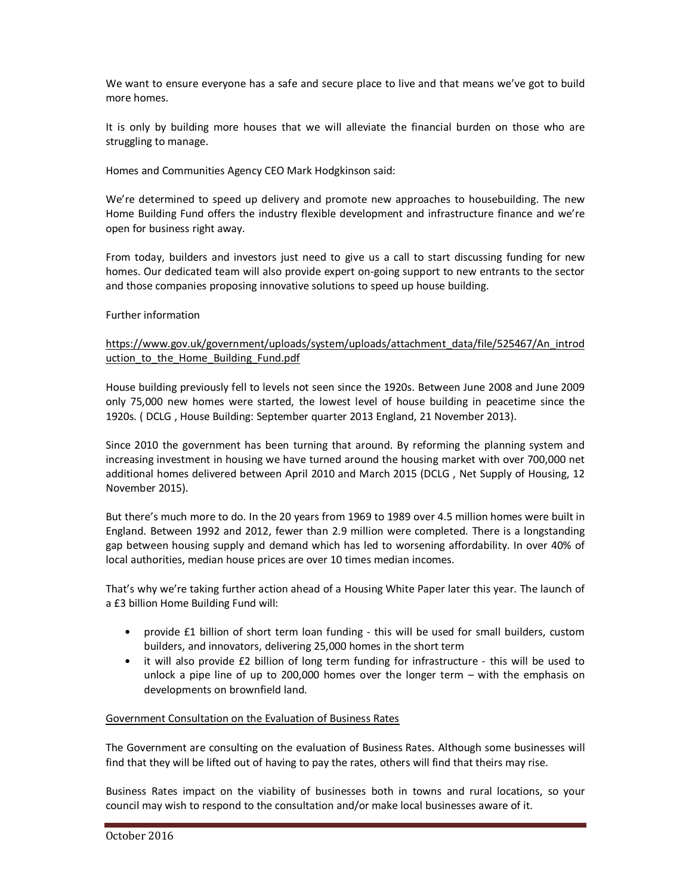We want to ensure everyone has a safe and secure place to live and that means we've got to build more homes.

It is only by building more houses that we will alleviate the financial burden on those who are struggling to manage.

Homes and Communities Agency CEO Mark Hodgkinson said:

We're determined to speed up delivery and promote new approaches to housebuilding. The new Home Building Fund offers the industry flexible development and infrastructure finance and we're open for business right away.

From today, builders and investors just need to give us a call to start discussing funding for new homes. Our dedicated team will also provide expert on-going support to new entrants to the sector and those companies proposing innovative solutions to speed up house building.

## Further information

## https://www.gov.uk/government/uploads/system/uploads/attachment\_data/file/525467/An\_introd uction to the Home Building Fund.pdf

House building previously fell to levels not seen since the 1920s. Between June 2008 and June 2009 only 75,000 new homes were started, the lowest level of house building in peacetime since the 1920s. ( DCLG , House Building: September quarter 2013 England, 21 November 2013).

Since 2010 the government has been turning that around. By reforming the planning system and increasing investment in housing we have turned around the housing market with over 700,000 net additional homes delivered between April 2010 and March 2015 (DCLG , Net Supply of Housing, 12 November 2015).

But there's much more to do. In the 20 years from 1969 to 1989 over 4.5 million homes were built in England. Between 1992 and 2012, fewer than 2.9 million were completed. There is a longstanding gap between housing supply and demand which has led to worsening affordability. In over 40% of local authorities, median house prices are over 10 times median incomes.

That's why we're taking further action ahead of a Housing White Paper later this year. The launch of a £3 billion Home Building Fund will:

- provide £1 billion of short term loan funding this will be used for small builders, custom builders, and innovators, delivering 25,000 homes in the short term
- it will also provide £2 billion of long term funding for infrastructure this will be used to unlock a pipe line of up to 200,000 homes over the longer term – with the emphasis on developments on brownfield land.

### Government Consultation on the Evaluation of Business Rates

The Government are consulting on the evaluation of Business Rates. Although some businesses will find that they will be lifted out of having to pay the rates, others will find that theirs may rise.

Business Rates impact on the viability of businesses both in towns and rural locations, so your council may wish to respond to the consultation and/or make local businesses aware of it.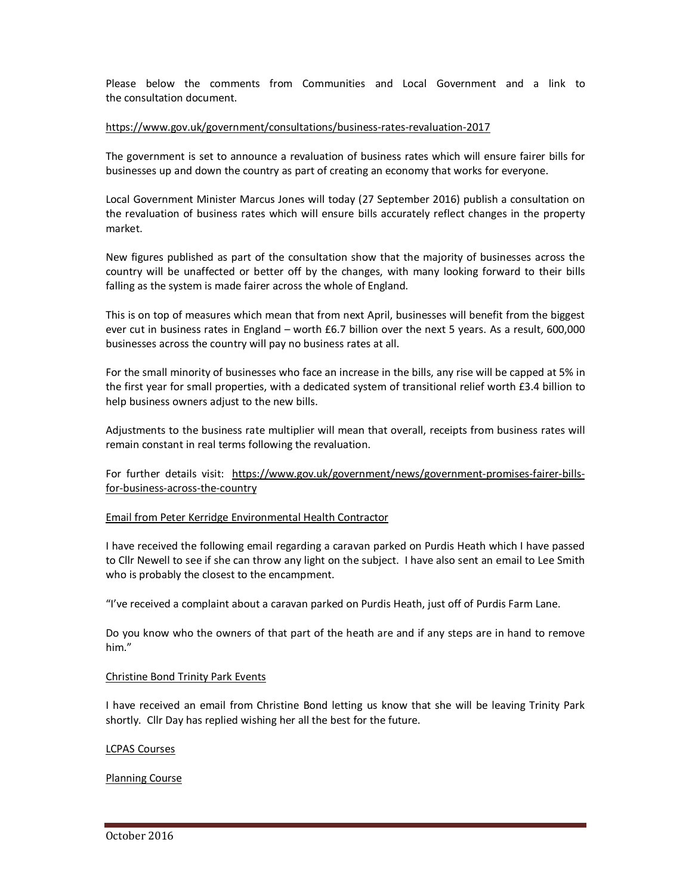Please below the comments from Communities and Local Government and a link to the consultation document.

### https://www.gov.uk/government/consultations/business-rates-revaluation-2017

The government is set to announce a revaluation of business rates which will ensure fairer bills for businesses up and down the country as part of creating an economy that works for everyone.

Local Government Minister Marcus Jones will today (27 September 2016) publish a consultation on the revaluation of business rates which will ensure bills accurately reflect changes in the property market.

New figures published as part of the consultation show that the majority of businesses across the country will be unaffected or better off by the changes, with many looking forward to their bills falling as the system is made fairer across the whole of England.

This is on top of measures which mean that from next April, businesses will benefit from the biggest ever cut in business rates in England – worth £6.7 billion over the next 5 years. As a result, 600,000 businesses across the country will pay no business rates at all.

For the small minority of businesses who face an increase in the bills, any rise will be capped at 5% in the first year for small properties, with a dedicated system of transitional relief worth £3.4 billion to help business owners adjust to the new bills.

Adjustments to the business rate multiplier will mean that overall, receipts from business rates will remain constant in real terms following the revaluation.

For further details visit: https://www.gov.uk/government/news/government-promises-fairer-billsfor-business-across-the-country

#### Email from Peter Kerridge Environmental Health Contractor

I have received the following email regarding a caravan parked on Purdis Heath which I have passed to Cllr Newell to see if she can throw any light on the subject. I have also sent an email to Lee Smith who is probably the closest to the encampment.

"I've received a complaint about a caravan parked on Purdis Heath, just off of Purdis Farm Lane.

Do you know who the owners of that part of the heath are and if any steps are in hand to remove him."

#### Christine Bond Trinity Park Events

I have received an email from Christine Bond letting us know that she will be leaving Trinity Park shortly. Cllr Day has replied wishing her all the best for the future.

### LCPAS Courses

Planning Course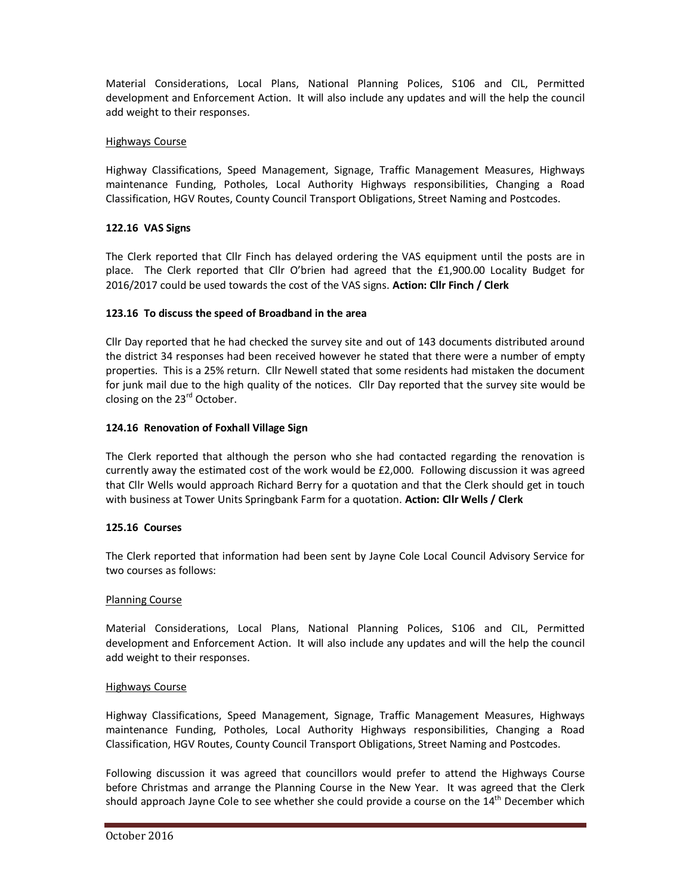Material Considerations, Local Plans, National Planning Polices, S106 and CIL, Permitted development and Enforcement Action. It will also include any updates and will the help the council add weight to their responses.

## Highways Course

Highway Classifications, Speed Management, Signage, Traffic Management Measures, Highways maintenance Funding, Potholes, Local Authority Highways responsibilities, Changing a Road Classification, HGV Routes, County Council Transport Obligations, Street Naming and Postcodes.

## **122.16 VAS Signs**

The Clerk reported that Cllr Finch has delayed ordering the VAS equipment until the posts are in place. The Clerk reported that Cllr O'brien had agreed that the £1,900.00 Locality Budget for 2016/2017 could be used towards the cost of the VAS signs. **Action: Cllr Finch / Clerk** 

## **123.16 To discuss the speed of Broadband in the area**

Cllr Day reported that he had checked the survey site and out of 143 documents distributed around the district 34 responses had been received however he stated that there were a number of empty properties. This is a 25% return. Cllr Newell stated that some residents had mistaken the document for junk mail due to the high quality of the notices. Cllr Day reported that the survey site would be closing on the 23<sup>rd</sup> October.

## **124.16 Renovation of Foxhall Village Sign**

The Clerk reported that although the person who she had contacted regarding the renovation is currently away the estimated cost of the work would be £2,000. Following discussion it was agreed that Cllr Wells would approach Richard Berry for a quotation and that the Clerk should get in touch with business at Tower Units Springbank Farm for a quotation. **Action: Cllr Wells / Clerk** 

### **125.16 Courses**

The Clerk reported that information had been sent by Jayne Cole Local Council Advisory Service for two courses as follows:

### Planning Course

Material Considerations, Local Plans, National Planning Polices, S106 and CIL, Permitted development and Enforcement Action. It will also include any updates and will the help the council add weight to their responses.

### Highways Course

Highway Classifications, Speed Management, Signage, Traffic Management Measures, Highways maintenance Funding, Potholes, Local Authority Highways responsibilities, Changing a Road Classification, HGV Routes, County Council Transport Obligations, Street Naming and Postcodes.

Following discussion it was agreed that councillors would prefer to attend the Highways Course before Christmas and arrange the Planning Course in the New Year. It was agreed that the Clerk should approach Jayne Cole to see whether she could provide a course on the 14<sup>th</sup> December which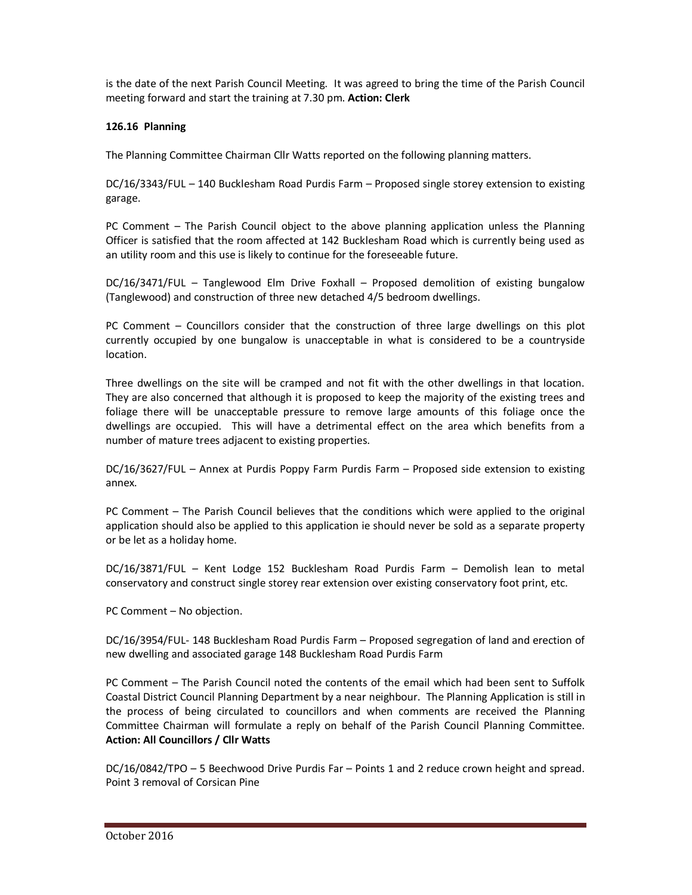is the date of the next Parish Council Meeting. It was agreed to bring the time of the Parish Council meeting forward and start the training at 7.30 pm. **Action: Clerk** 

# **126.16 Planning**

The Planning Committee Chairman Cllr Watts reported on the following planning matters.

DC/16/3343/FUL – 140 Bucklesham Road Purdis Farm – Proposed single storey extension to existing garage.

PC Comment – The Parish Council object to the above planning application unless the Planning Officer is satisfied that the room affected at 142 Bucklesham Road which is currently being used as an utility room and this use is likely to continue for the foreseeable future.

DC/16/3471/FUL – Tanglewood Elm Drive Foxhall – Proposed demolition of existing bungalow (Tanglewood) and construction of three new detached 4/5 bedroom dwellings.

PC Comment – Councillors consider that the construction of three large dwellings on this plot currently occupied by one bungalow is unacceptable in what is considered to be a countryside location.

Three dwellings on the site will be cramped and not fit with the other dwellings in that location. They are also concerned that although it is proposed to keep the majority of the existing trees and foliage there will be unacceptable pressure to remove large amounts of this foliage once the dwellings are occupied. This will have a detrimental effect on the area which benefits from a number of mature trees adjacent to existing properties.

DC/16/3627/FUL – Annex at Purdis Poppy Farm Purdis Farm – Proposed side extension to existing annex.

PC Comment – The Parish Council believes that the conditions which were applied to the original application should also be applied to this application ie should never be sold as a separate property or be let as a holiday home.

DC/16/3871/FUL – Kent Lodge 152 Bucklesham Road Purdis Farm – Demolish lean to metal conservatory and construct single storey rear extension over existing conservatory foot print, etc.

PC Comment – No objection.

DC/16/3954/FUL- 148 Bucklesham Road Purdis Farm – Proposed segregation of land and erection of new dwelling and associated garage 148 Bucklesham Road Purdis Farm

PC Comment – The Parish Council noted the contents of the email which had been sent to Suffolk Coastal District Council Planning Department by a near neighbour. The Planning Application is still in the process of being circulated to councillors and when comments are received the Planning Committee Chairman will formulate a reply on behalf of the Parish Council Planning Committee. **Action: All Councillors / Cllr Watts** 

DC/16/0842/TPO – 5 Beechwood Drive Purdis Far – Points 1 and 2 reduce crown height and spread. Point 3 removal of Corsican Pine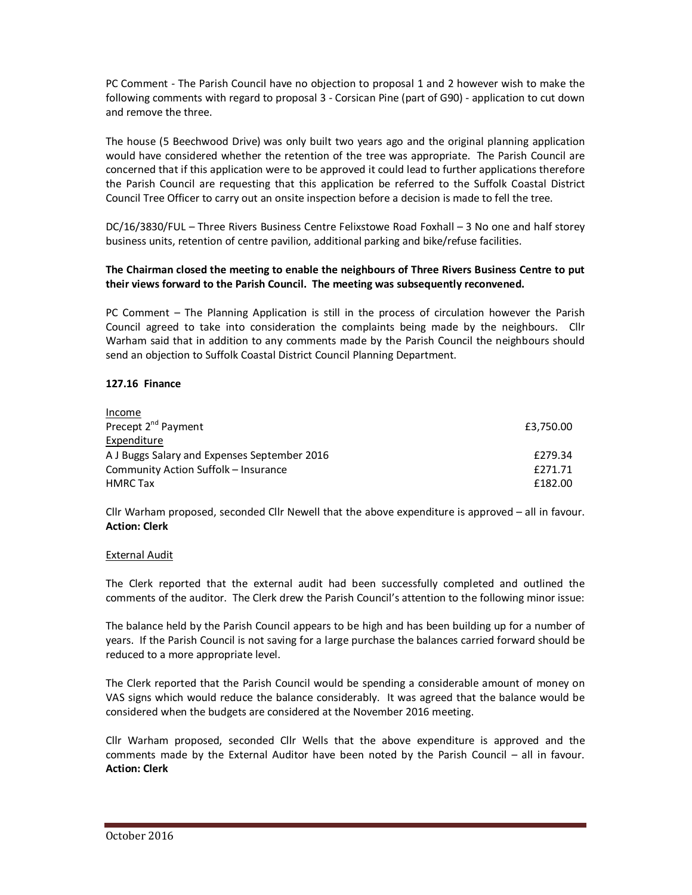PC Comment - The Parish Council have no objection to proposal 1 and 2 however wish to make the following comments with regard to proposal 3 - Corsican Pine (part of G90) - application to cut down and remove the three.

The house (5 Beechwood Drive) was only built two years ago and the original planning application would have considered whether the retention of the tree was appropriate. The Parish Council are concerned that if this application were to be approved it could lead to further applications therefore the Parish Council are requesting that this application be referred to the Suffolk Coastal District Council Tree Officer to carry out an onsite inspection before a decision is made to fell the tree.

DC/16/3830/FUL – Three Rivers Business Centre Felixstowe Road Foxhall – 3 No one and half storey business units, retention of centre pavilion, additional parking and bike/refuse facilities.

## **The Chairman closed the meeting to enable the neighbours of Three Rivers Business Centre to put their views forward to the Parish Council. The meeting was subsequently reconvened.**

PC Comment – The Planning Application is still in the process of circulation however the Parish Council agreed to take into consideration the complaints being made by the neighbours. Cllr Warham said that in addition to any comments made by the Parish Council the neighbours should send an objection to Suffolk Coastal District Council Planning Department.

## **127.16 Finance**

| Income                                       |           |
|----------------------------------------------|-----------|
| Precept 2 <sup>nd</sup> Payment              | £3,750.00 |
| Expenditure                                  |           |
| A J Buggs Salary and Expenses September 2016 | £279.34   |
| Community Action Suffolk - Insurance         | £271.71   |
| <b>HMRC Tax</b>                              | £182.00   |

Cllr Warham proposed, seconded Cllr Newell that the above expenditure is approved – all in favour. **Action: Clerk** 

### External Audit

The Clerk reported that the external audit had been successfully completed and outlined the comments of the auditor. The Clerk drew the Parish Council's attention to the following minor issue:

The balance held by the Parish Council appears to be high and has been building up for a number of years. If the Parish Council is not saving for a large purchase the balances carried forward should be reduced to a more appropriate level.

The Clerk reported that the Parish Council would be spending a considerable amount of money on VAS signs which would reduce the balance considerably. It was agreed that the balance would be considered when the budgets are considered at the November 2016 meeting.

Cllr Warham proposed, seconded Cllr Wells that the above expenditure is approved and the comments made by the External Auditor have been noted by the Parish Council – all in favour. **Action: Clerk**